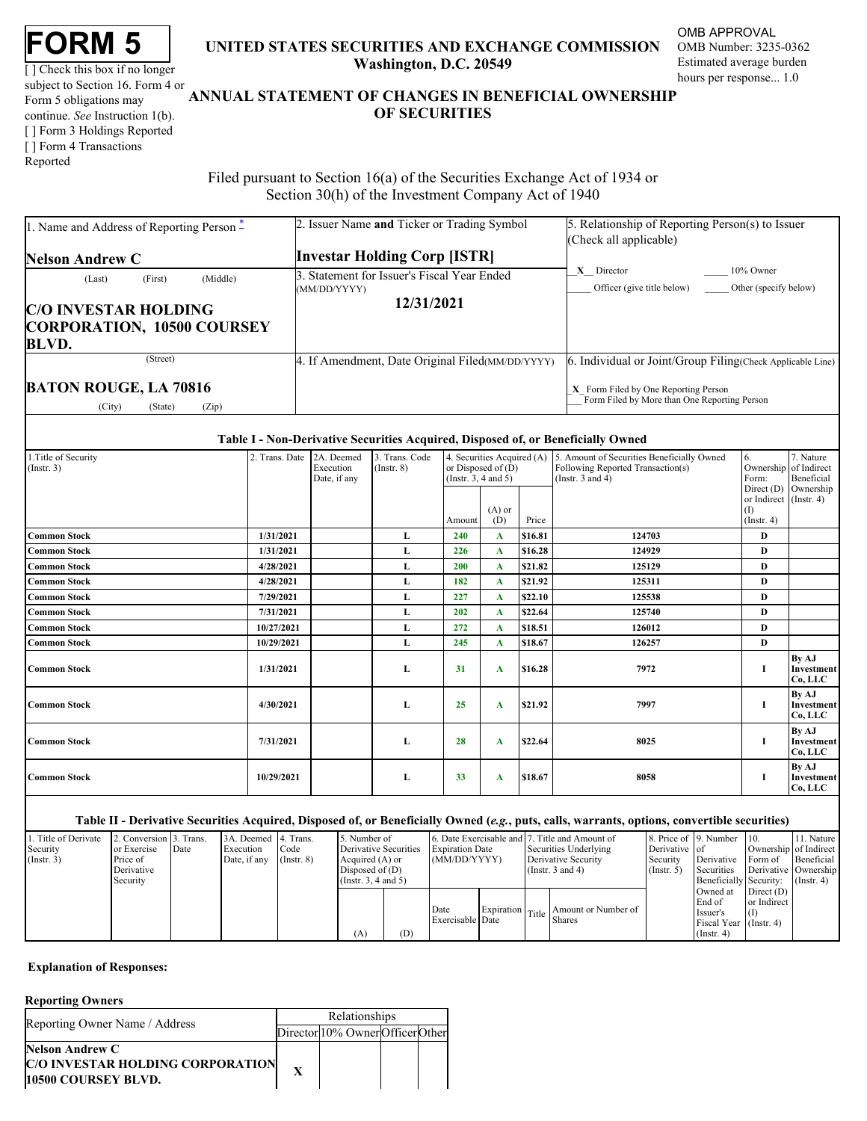|--|

[] Check this box if no longer subject to Section 16. Form 4 or continue. *See* Instruction 1(b). [ ] Form 3 Holdings Reported [ ] Form 4 Transactions Reported

## **FORM 5** UNITED STATES SECURITIES AND EXCHANGE COMMISSION OMB Number: 3235-0362 **Washington, D.C. 20549**

OMB APPROVAL OMB Number: 3235-0362 Estimated average burden hours per response... 1.0

# Form 5 obligations may **ANNUAL STATEMENT OF CHANGES IN BENEFICIAL OWNERSHIP OF SECURITIES** TATES SECURITIES AND EXCHANGE COMMISSION OMB<br>Washington, D.C. 20549<br>ATEMENT OF CHANGES IN BENEFICIAL OWNERSHIP<br>OF SECURITIES

 Filed pursuant to Section 16(a) of the Securities Exchange Act of 1934 or Section 30(h) of the Investment Company Act of 1940

| 1. Name and Address of Reporting Person $*$                                      | 2. Issuer Name and Ticker or Trading Symbol                 | 5. Relationship of Reporting Person(s) to Issuer<br>(Check all applicable)             |
|----------------------------------------------------------------------------------|-------------------------------------------------------------|----------------------------------------------------------------------------------------|
| <b>Nelson Andrew C</b>                                                           | <b>Investar Holding Corp [ISTR]</b>                         |                                                                                        |
| (Middle)<br>(First)<br>(Last)                                                    | 3. Statement for Issuer's Fiscal Year Ended<br>(MM/DD/YYYY) | $X$ Director<br>$10\%$ Owner<br>Officer (give title below) Other (specify below)       |
| <b>C/O INVESTAR HOLDING</b><br><b>CORPORATION, 10500 COURSEY</b><br><b>BLVD.</b> | 12/31/2021                                                  |                                                                                        |
| (Street)                                                                         | 4. If Amendment, Date Original Filed (MM/DD/YYYY)           | Individual or Joint/Group Filing (Check Applicable Line)                               |
| <b>BATON ROUGE, LA 70816</b><br>(Zip)<br>(City)<br>(State)                       |                                                             | $X$ Form Filed by One Reporting Person<br>Form Filed by More than One Reporting Person |

#### **Table I - Non-Derivative Securities Acquired, Disposed of, or Beneficially Owned**

| 1. Title of Security<br>E. Securities Acquired (A) 5. Amount of Securities Beneficially Owned<br>7. Nature<br>3. Trans. Code<br>6.<br>2. Trans. Date 2A. Deemed<br>$($ Instr. 3 $)$<br>Ownership of Indirect<br>or Disposed of (D)<br>Following Reported Transaction(s)<br>$($ Instr. $8)$<br>Execution<br>(Instr. 3, 4 and 5)<br>(Instr. 3 and 4)<br>Beneficial<br>Date, if any<br>Form:<br>Direct (D) Ownership<br>or Indirect (Instr. 4)<br>$(A)$ or<br>$\left(1\right)$<br>(D)<br>Price<br>$($ Instr. 4 $)$<br>Amount<br><b>Common Stock</b><br>240<br>\$16.81<br>124703<br>1/31/2021<br>D<br>L.<br><b>Common Stock</b><br>226<br>\$16.28<br>1/31/2021<br>124929<br>D<br>L<br><b>Common Stock</b><br>200<br>\$21.82<br>4/28/2021<br>125129<br>D<br>L<br><b>Common Stock</b><br>182<br>\$21.92<br>4/28/2021<br>125311<br>D<br>A<br><b>Common Stock</b><br>227<br>\$22.10<br>7/29/2021<br>125538<br>D<br>ы.<br><b>Common Stock</b><br>202<br>7/31/2021<br>\$22.64<br>125740<br>D<br>L<br>\$18.51<br><b>Common Stock</b><br>272<br>10/27/2021<br>126012<br>D<br>L<br><b>Common Stock</b><br>10/29/2021<br>245<br>\$18.67<br>126257<br>D<br>L<br>By AJ<br>31<br>7972<br>1/31/2021<br>\$16.28<br><b>Common Stock</b><br>Investment<br>L<br>A<br>Co, LLC<br>By AJ<br>7997<br>25<br>\$21.92<br>4/30/2021<br><b>Common Stock</b><br>L.<br>A<br>Co, LLC<br>By AJ<br>28<br>8025<br>\$22.64<br><b>Common Stock</b><br>7/31/2021<br>L<br>A<br>Co, LLC<br>By AJ<br>33<br>8058<br>\$18.67<br>10/29/2021<br><b>Common Stock</b><br>Investment<br>L<br>A<br>Co, LLC |  |  |  |  |  |  |
|---------------------------------------------------------------------------------------------------------------------------------------------------------------------------------------------------------------------------------------------------------------------------------------------------------------------------------------------------------------------------------------------------------------------------------------------------------------------------------------------------------------------------------------------------------------------------------------------------------------------------------------------------------------------------------------------------------------------------------------------------------------------------------------------------------------------------------------------------------------------------------------------------------------------------------------------------------------------------------------------------------------------------------------------------------------------------------------------------------------------------------------------------------------------------------------------------------------------------------------------------------------------------------------------------------------------------------------------------------------------------------------------------------------------------------------------------------------------------------------------------------------------------------------------------------|--|--|--|--|--|--|
| Investment<br>Investment                                                                                                                                                                                                                                                                                                                                                                                                                                                                                                                                                                                                                                                                                                                                                                                                                                                                                                                                                                                                                                                                                                                                                                                                                                                                                                                                                                                                                                                                                                                                |  |  |  |  |  |  |
|                                                                                                                                                                                                                                                                                                                                                                                                                                                                                                                                                                                                                                                                                                                                                                                                                                                                                                                                                                                                                                                                                                                                                                                                                                                                                                                                                                                                                                                                                                                                                         |  |  |  |  |  |  |
|                                                                                                                                                                                                                                                                                                                                                                                                                                                                                                                                                                                                                                                                                                                                                                                                                                                                                                                                                                                                                                                                                                                                                                                                                                                                                                                                                                                                                                                                                                                                                         |  |  |  |  |  |  |
|                                                                                                                                                                                                                                                                                                                                                                                                                                                                                                                                                                                                                                                                                                                                                                                                                                                                                                                                                                                                                                                                                                                                                                                                                                                                                                                                                                                                                                                                                                                                                         |  |  |  |  |  |  |
|                                                                                                                                                                                                                                                                                                                                                                                                                                                                                                                                                                                                                                                                                                                                                                                                                                                                                                                                                                                                                                                                                                                                                                                                                                                                                                                                                                                                                                                                                                                                                         |  |  |  |  |  |  |
|                                                                                                                                                                                                                                                                                                                                                                                                                                                                                                                                                                                                                                                                                                                                                                                                                                                                                                                                                                                                                                                                                                                                                                                                                                                                                                                                                                                                                                                                                                                                                         |  |  |  |  |  |  |
|                                                                                                                                                                                                                                                                                                                                                                                                                                                                                                                                                                                                                                                                                                                                                                                                                                                                                                                                                                                                                                                                                                                                                                                                                                                                                                                                                                                                                                                                                                                                                         |  |  |  |  |  |  |
|                                                                                                                                                                                                                                                                                                                                                                                                                                                                                                                                                                                                                                                                                                                                                                                                                                                                                                                                                                                                                                                                                                                                                                                                                                                                                                                                                                                                                                                                                                                                                         |  |  |  |  |  |  |
|                                                                                                                                                                                                                                                                                                                                                                                                                                                                                                                                                                                                                                                                                                                                                                                                                                                                                                                                                                                                                                                                                                                                                                                                                                                                                                                                                                                                                                                                                                                                                         |  |  |  |  |  |  |
|                                                                                                                                                                                                                                                                                                                                                                                                                                                                                                                                                                                                                                                                                                                                                                                                                                                                                                                                                                                                                                                                                                                                                                                                                                                                                                                                                                                                                                                                                                                                                         |  |  |  |  |  |  |
|                                                                                                                                                                                                                                                                                                                                                                                                                                                                                                                                                                                                                                                                                                                                                                                                                                                                                                                                                                                                                                                                                                                                                                                                                                                                                                                                                                                                                                                                                                                                                         |  |  |  |  |  |  |
|                                                                                                                                                                                                                                                                                                                                                                                                                                                                                                                                                                                                                                                                                                                                                                                                                                                                                                                                                                                                                                                                                                                                                                                                                                                                                                                                                                                                                                                                                                                                                         |  |  |  |  |  |  |
|                                                                                                                                                                                                                                                                                                                                                                                                                                                                                                                                                                                                                                                                                                                                                                                                                                                                                                                                                                                                                                                                                                                                                                                                                                                                                                                                                                                                                                                                                                                                                         |  |  |  |  |  |  |
|                                                                                                                                                                                                                                                                                                                                                                                                                                                                                                                                                                                                                                                                                                                                                                                                                                                                                                                                                                                                                                                                                                                                                                                                                                                                                                                                                                                                                                                                                                                                                         |  |  |  |  |  |  |

#### **Table II - Derivative Securities Acquired, Disposed of, or Beneficially Owned (***e.g.***, puts, calls, warrants, options, convertible securities)**

| 1. Title of Derivate<br>Security<br>$($ Instr. 3 $)$ | 2. Conversion 3. Trans.<br>or Exercise<br>Price of<br>Derivative | Date | 3A. Deemed 4. Trans.<br>Execution<br>Date, if any | Code<br>$($ Instr. $8)$ | 5. Number of<br>Derivative Securities<br>Acquired (A) or<br>Disposed of $(D)$<br>(Insert. 3, 4 and 5) |     | <b>Expiration Date</b><br>(MM/DD/YYYY) |  | 6. Date Exercisable and 7. Title and Amount of<br>Securities Underlying<br>Derivative Security<br>(Instr. $3$ and $4$ ) | Derivative of<br>Security<br>$($ Instr. 5 $)$ | 8. Price of 9. Number 10.<br>Derivative Form of Beneficial<br>Securities<br>Beneficially Security: (Instr. 4) |                            | 11. Nature<br>Ownership of Indirect<br>Derivative Ownership |
|------------------------------------------------------|------------------------------------------------------------------|------|---------------------------------------------------|-------------------------|-------------------------------------------------------------------------------------------------------|-----|----------------------------------------|--|-------------------------------------------------------------------------------------------------------------------------|-----------------------------------------------|---------------------------------------------------------------------------------------------------------------|----------------------------|-------------------------------------------------------------|
|                                                      | Security                                                         |      |                                                   |                         | (A)                                                                                                   | (D) | Date<br>Exercisable Date               |  | Expiration Title Amount or Number of Date                                                                               |                                               | Owned at $\Box$ Direct (D) $\Box$<br>End of<br>Issuer's<br>Fiscal Year (Instr. 4)<br>$($ Instr. 4 $)$         | or Indirect<br>$\vert$ (I) |                                                             |

### **Explanation of Responses:**

### **Reporting Owners**

| Director 10% Owner Officer Other<br><b>Nelson Andrew C</b><br>C/O INVESTAR HOLDING CORPORATION | Reporting Owner Name / Address | <b>Relationships</b> |  |
|------------------------------------------------------------------------------------------------|--------------------------------|----------------------|--|
|                                                                                                |                                |                      |  |
|                                                                                                |                                |                      |  |
|                                                                                                | 10500 COURSEY BLVD.            |                      |  |